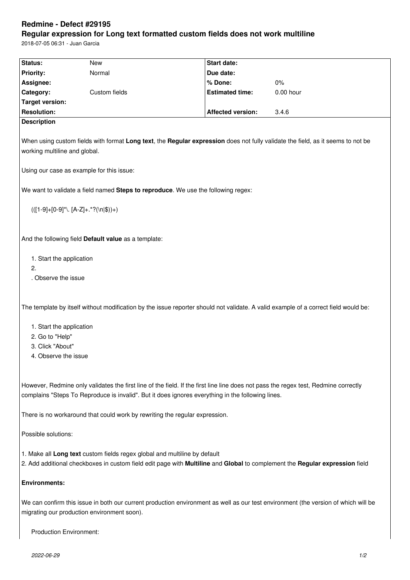## **Redmine - Defect #29195**

## **Regular expression for Long text formatted custom fields does not work multiline**

2018-07-05 06:31 - Juan Garcia

| Status:                                                                                                                                                                                                                                  | <b>New</b>                                                                  | <b>Start date:</b>       |                      |  |
|------------------------------------------------------------------------------------------------------------------------------------------------------------------------------------------------------------------------------------------|-----------------------------------------------------------------------------|--------------------------|----------------------|--|
|                                                                                                                                                                                                                                          | Normal                                                                      |                          |                      |  |
| <b>Priority:</b>                                                                                                                                                                                                                         |                                                                             | Due date:                |                      |  |
| Assignee:                                                                                                                                                                                                                                |                                                                             | % Done:                  | $0\%$<br>$0.00$ hour |  |
| Category:                                                                                                                                                                                                                                | Custom fields                                                               | <b>Estimated time:</b>   |                      |  |
| <b>Target version:</b>                                                                                                                                                                                                                   |                                                                             |                          |                      |  |
| <b>Resolution:</b>                                                                                                                                                                                                                       |                                                                             | <b>Affected version:</b> | 3.4.6                |  |
| <b>Description</b>                                                                                                                                                                                                                       |                                                                             |                          |                      |  |
| When using custom fields with format Long text, the Regular expression does not fully validate the field, as it seems to not be<br>working multiline and global.                                                                         |                                                                             |                          |                      |  |
| Using our case as example for this issue:                                                                                                                                                                                                |                                                                             |                          |                      |  |
| We want to validate a field named Steps to reproduce. We use the following regex:                                                                                                                                                        |                                                                             |                          |                      |  |
| $(([1-9]+[0-9]^{\star}). [A-Z]+.^{\star}?(\n\cdot  \$))+)$                                                                                                                                                                               |                                                                             |                          |                      |  |
| And the following field Default value as a template:                                                                                                                                                                                     |                                                                             |                          |                      |  |
| 1. Start the application                                                                                                                                                                                                                 |                                                                             |                          |                      |  |
| 2.                                                                                                                                                                                                                                       |                                                                             |                          |                      |  |
| . Observe the issue                                                                                                                                                                                                                      |                                                                             |                          |                      |  |
|                                                                                                                                                                                                                                          |                                                                             |                          |                      |  |
| The template by itself without modification by the issue reporter should not validate. A valid example of a correct field would be:                                                                                                      |                                                                             |                          |                      |  |
| 1. Start the application                                                                                                                                                                                                                 |                                                                             |                          |                      |  |
| 2. Go to "Help"                                                                                                                                                                                                                          |                                                                             |                          |                      |  |
| 3. Click "About"                                                                                                                                                                                                                         |                                                                             |                          |                      |  |
| 4. Observe the issue                                                                                                                                                                                                                     |                                                                             |                          |                      |  |
|                                                                                                                                                                                                                                          |                                                                             |                          |                      |  |
| However, Redmine only validates the first line of the field. If the first line line does not pass the regex test, Redmine correctly<br>complains "Steps To Reproduce is invalid". But it does ignores everything in the following lines. |                                                                             |                          |                      |  |
|                                                                                                                                                                                                                                          | There is no workaround that could work by rewriting the regular expression. |                          |                      |  |
| Possible solutions:                                                                                                                                                                                                                      |                                                                             |                          |                      |  |
| 1. Make all Long text custom fields regex global and multiline by default                                                                                                                                                                |                                                                             |                          |                      |  |
| 2. Add additional checkboxes in custom field edit page with Multiline and Global to complement the Regular expression field                                                                                                              |                                                                             |                          |                      |  |
| <b>Environments:</b>                                                                                                                                                                                                                     |                                                                             |                          |                      |  |
| We can confirm this issue in both our current production environment as well as our test environment (the version of which will be<br>migrating our production environment soon).                                                        |                                                                             |                          |                      |  |
| <b>Production Environment:</b>                                                                                                                                                                                                           |                                                                             |                          |                      |  |